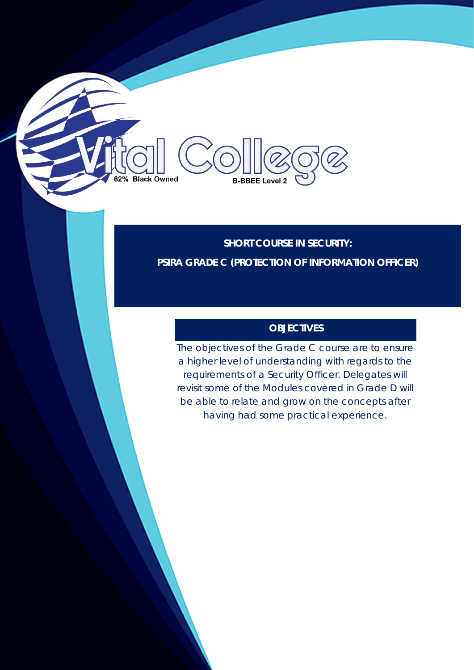**SHORT COURSE IN SECURITY: PSIRA GRADE C (PROTECTION OF INFORMATION OFFICER)**

**B-BBEE Level 2** 

62% Black Owned

# **OBJECTIVES**

The objectives of the Grade C course are to ensure a higher level of understanding with regards to the requirements of a Security Officer. Delegates will revisit some of the Modules covered in Grade D will be able to relate and grow on the concepts after having had some practical experience.